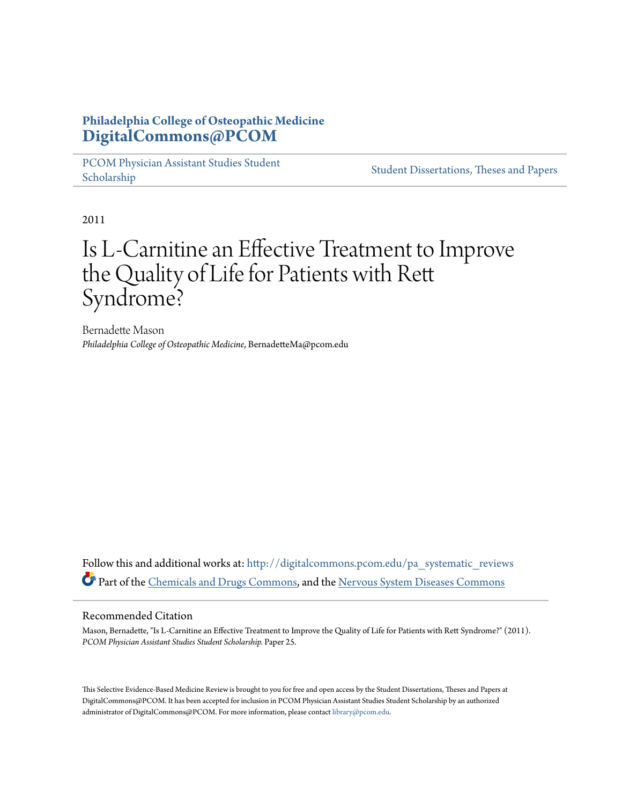# **Philadelphia College of Osteopathic Medicine [DigitalCommons@PCOM](http://digitalcommons.pcom.edu?utm_source=digitalcommons.pcom.edu%2Fpa_systematic_reviews%2F25&utm_medium=PDF&utm_campaign=PDFCoverPages)**

[PCOM Physician Assistant Studies Student](http://digitalcommons.pcom.edu/pa_systematic_reviews?utm_source=digitalcommons.pcom.edu%2Fpa_systematic_reviews%2F25&utm_medium=PDF&utm_campaign=PDFCoverPages) Student Dissertations, Theses and Papers<br>[Scholarship](http://digitalcommons.pcom.edu/pa_systematic_reviews?utm_source=digitalcommons.pcom.edu%2Fpa_systematic_reviews%2F25&utm_medium=PDF&utm_campaign=PDFCoverPages)

2011

# Is L-Carnitine an Effective Treatment to Improve the Quality of Life for Patients with Rett Syndrome?

Bernadette Mason *Philadelphia College of Osteopathic Medicine*, BernadetteMa@pcom.edu

Follow this and additional works at: [http://digitalcommons.pcom.edu/pa\\_systematic\\_reviews](http://digitalcommons.pcom.edu/pa_systematic_reviews?utm_source=digitalcommons.pcom.edu%2Fpa_systematic_reviews%2F25&utm_medium=PDF&utm_campaign=PDFCoverPages) Part of the [Chemicals and Drugs Commons,](http://network.bepress.com/hgg/discipline/902?utm_source=digitalcommons.pcom.edu%2Fpa_systematic_reviews%2F25&utm_medium=PDF&utm_campaign=PDFCoverPages) and the [Nervous System Diseases Commons](http://network.bepress.com/hgg/discipline/928?utm_source=digitalcommons.pcom.edu%2Fpa_systematic_reviews%2F25&utm_medium=PDF&utm_campaign=PDFCoverPages)

#### Recommended Citation

Mason, Bernadette, "Is L-Carnitine an Effective Treatment to Improve the Quality of Life for Patients with Rett Syndrome?" (2011). *PCOM Physician Assistant Studies Student Scholarship.* Paper 25.

This Selective Evidence-Based Medicine Review is brought to you for free and open access by the Student Dissertations, Theses and Papers at DigitalCommons@PCOM. It has been accepted for inclusion in PCOM Physician Assistant Studies Student Scholarship by an authorized administrator of DigitalCommons@PCOM. For more information, please contact [library@pcom.edu](mailto:library@pcom.edu).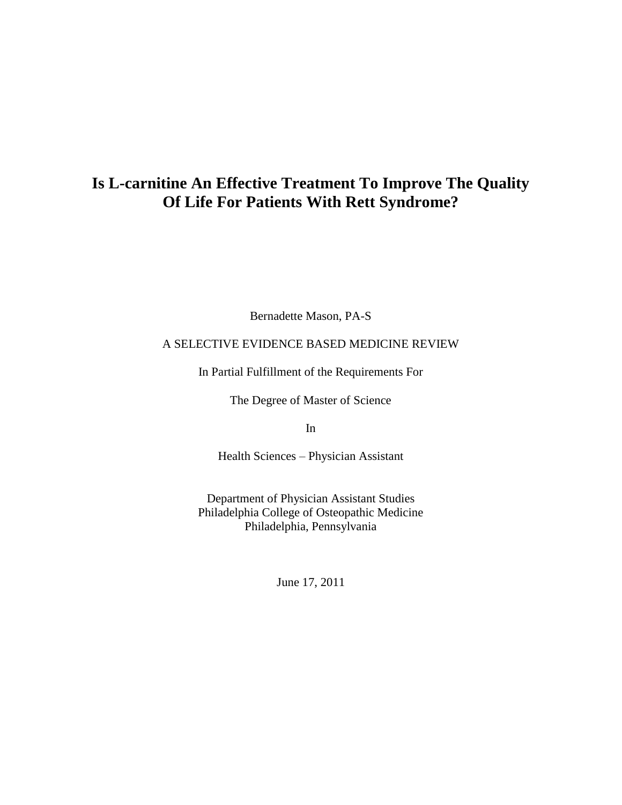# **Is L-carnitine An Effective Treatment To Improve The Quality Of Life For Patients With Rett Syndrome?**

Bernadette Mason, PA-S

# A SELECTIVE EVIDENCE BASED MEDICINE REVIEW

In Partial Fulfillment of the Requirements For

The Degree of Master of Science

In

Health Sciences – Physician Assistant

Department of Physician Assistant Studies Philadelphia College of Osteopathic Medicine Philadelphia, Pennsylvania

June 17, 2011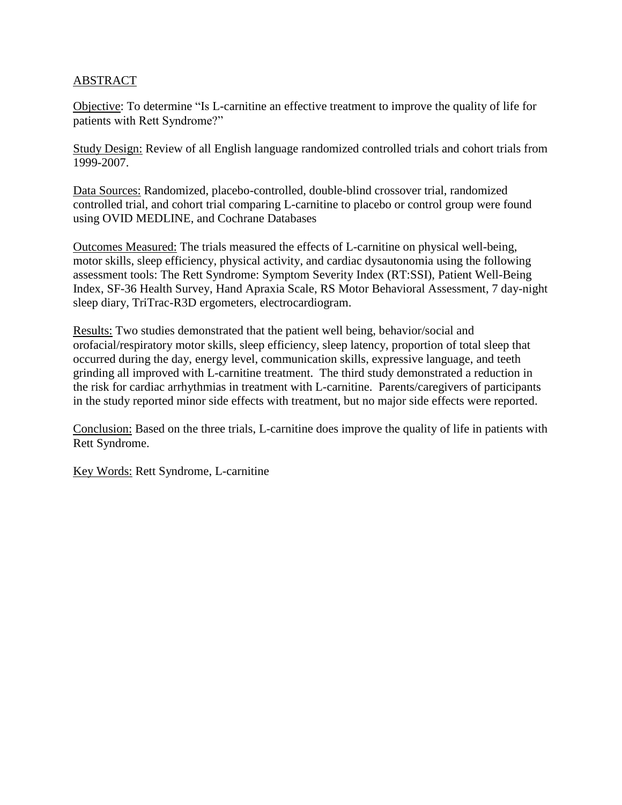# ABSTRACT

Objective: To determine "Is L-carnitine an effective treatment to improve the quality of life for patients with Rett Syndrome?"

Study Design: Review of all English language randomized controlled trials and cohort trials from 1999-2007.

Data Sources: Randomized, placebo-controlled, double-blind crossover trial, randomized controlled trial, and cohort trial comparing L-carnitine to placebo or control group were found using OVID MEDLINE, and Cochrane Databases

Outcomes Measured: The trials measured the effects of L-carnitine on physical well-being, motor skills, sleep efficiency, physical activity, and cardiac dysautonomia using the following assessment tools: The Rett Syndrome: Symptom Severity Index (RT:SSI), Patient Well-Being Index, SF-36 Health Survey, Hand Apraxia Scale, RS Motor Behavioral Assessment, 7 day-night sleep diary, TriTrac-R3D ergometers, electrocardiogram.

Results: Two studies demonstrated that the patient well being, behavior/social and orofacial/respiratory motor skills, sleep efficiency, sleep latency, proportion of total sleep that occurred during the day, energy level, communication skills, expressive language, and teeth grinding all improved with L-carnitine treatment. The third study demonstrated a reduction in the risk for cardiac arrhythmias in treatment with L-carnitine. Parents/caregivers of participants in the study reported minor side effects with treatment, but no major side effects were reported.

Conclusion: Based on the three trials, L-carnitine does improve the quality of life in patients with Rett Syndrome.

Key Words: Rett Syndrome, L-carnitine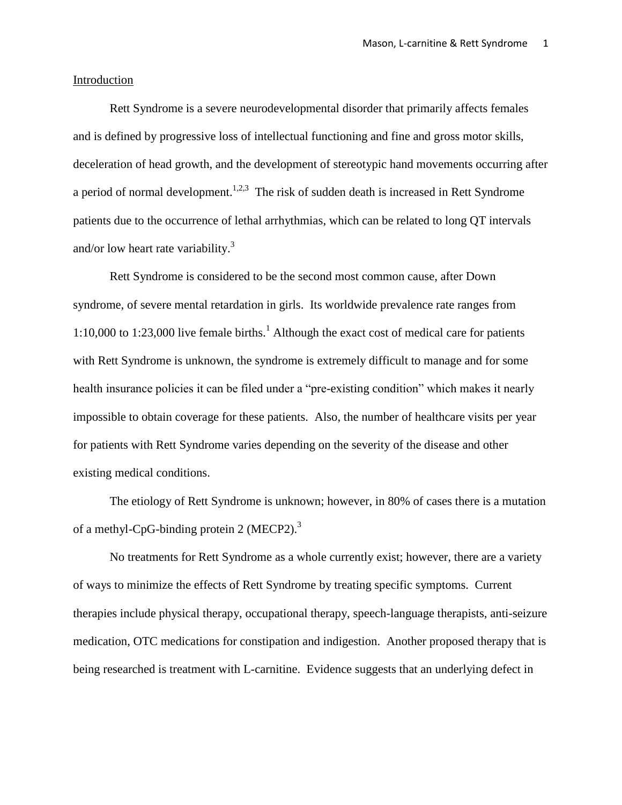#### Introduction

Rett Syndrome is a severe neurodevelopmental disorder that primarily affects females and is defined by progressive loss of intellectual functioning and fine and gross motor skills, deceleration of head growth, and the development of stereotypic hand movements occurring after a period of normal development.<sup>1,2,3</sup> The risk of sudden death is increased in Rett Syndrome patients due to the occurrence of lethal arrhythmias, which can be related to long QT intervals and/or low heart rate variability. $3$ 

Rett Syndrome is considered to be the second most common cause, after Down syndrome, of severe mental retardation in girls. Its worldwide prevalence rate ranges from 1:10,000 to 1:23,000 live female births.<sup>1</sup> Although the exact cost of medical care for patients with Rett Syndrome is unknown, the syndrome is extremely difficult to manage and for some health insurance policies it can be filed under a "pre-existing condition" which makes it nearly impossible to obtain coverage for these patients. Also, the number of healthcare visits per year for patients with Rett Syndrome varies depending on the severity of the disease and other existing medical conditions.

The etiology of Rett Syndrome is unknown; however, in 80% of cases there is a mutation of a methyl-CpG-binding protein 2 (MECP2).<sup>3</sup>

No treatments for Rett Syndrome as a whole currently exist; however, there are a variety of ways to minimize the effects of Rett Syndrome by treating specific symptoms. Current therapies include physical therapy, occupational therapy, speech-language therapists, anti-seizure medication, OTC medications for constipation and indigestion. Another proposed therapy that is being researched is treatment with L-carnitine. Evidence suggests that an underlying defect in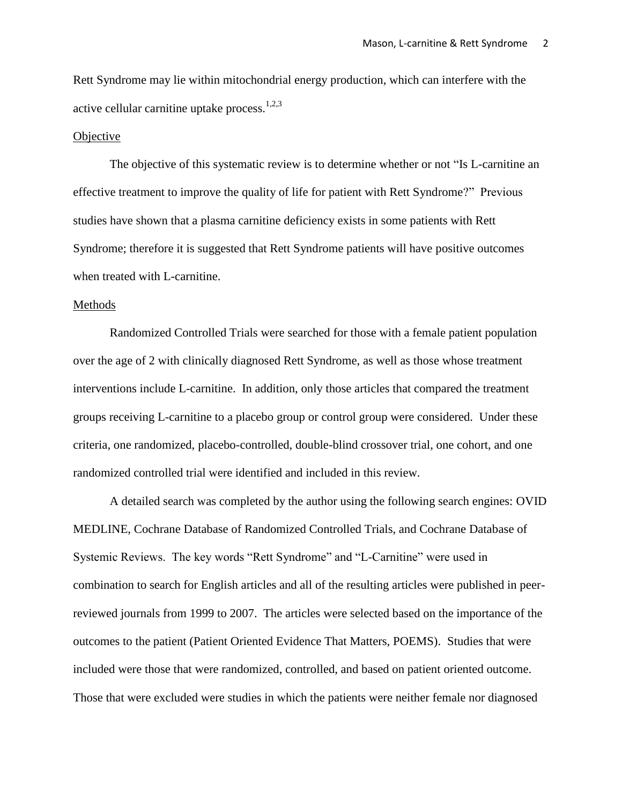Rett Syndrome may lie within mitochondrial energy production, which can interfere with the active cellular carnitine uptake process. $1,2,3$ 

#### **Objective**

The objective of this systematic review is to determine whether or not "Is L-carnitine an effective treatment to improve the quality of life for patient with Rett Syndrome?" Previous studies have shown that a plasma carnitine deficiency exists in some patients with Rett Syndrome; therefore it is suggested that Rett Syndrome patients will have positive outcomes when treated with L-carnitine.

#### Methods

Randomized Controlled Trials were searched for those with a female patient population over the age of 2 with clinically diagnosed Rett Syndrome, as well as those whose treatment interventions include L-carnitine. In addition, only those articles that compared the treatment groups receiving L-carnitine to a placebo group or control group were considered. Under these criteria, one randomized, placebo-controlled, double-blind crossover trial, one cohort, and one randomized controlled trial were identified and included in this review.

A detailed search was completed by the author using the following search engines: OVID MEDLINE, Cochrane Database of Randomized Controlled Trials, and Cochrane Database of Systemic Reviews. The key words "Rett Syndrome" and "L-Carnitine" were used in combination to search for English articles and all of the resulting articles were published in peerreviewed journals from 1999 to 2007. The articles were selected based on the importance of the outcomes to the patient (Patient Oriented Evidence That Matters, POEMS). Studies that were included were those that were randomized, controlled, and based on patient oriented outcome. Those that were excluded were studies in which the patients were neither female nor diagnosed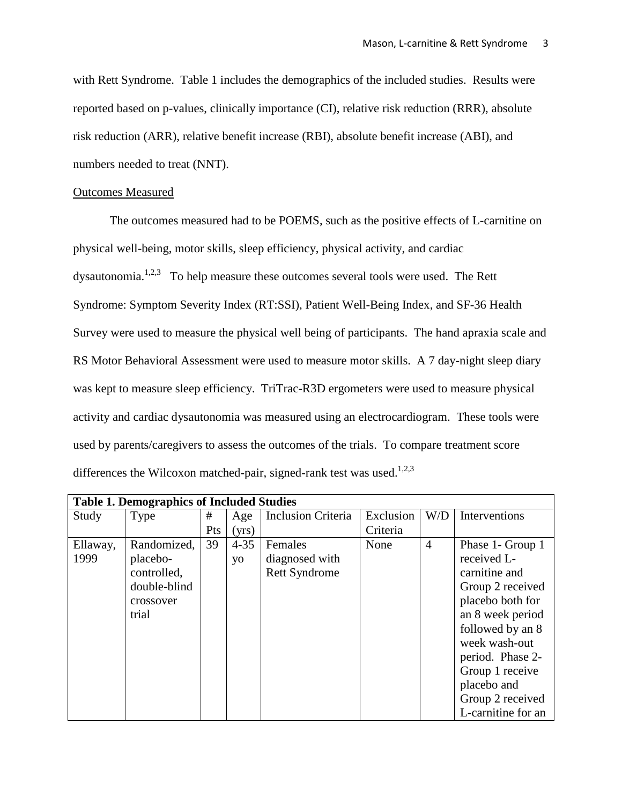with Rett Syndrome. Table 1 includes the demographics of the included studies. Results were reported based on p-values, clinically importance (CI), relative risk reduction (RRR), absolute risk reduction (ARR), relative benefit increase (RBI), absolute benefit increase (ABI), and numbers needed to treat (NNT).

#### Outcomes Measured

The outcomes measured had to be POEMS, such as the positive effects of L-carnitine on physical well-being, motor skills, sleep efficiency, physical activity, and cardiac dysautonomia.<sup>1,2,3</sup> To help measure these outcomes several tools were used. The Rett Syndrome: Symptom Severity Index (RT:SSI), Patient Well-Being Index, and SF-36 Health Survey were used to measure the physical well being of participants. The hand apraxia scale and RS Motor Behavioral Assessment were used to measure motor skills. A 7 day-night sleep diary was kept to measure sleep efficiency. TriTrac-R3D ergometers were used to measure physical activity and cardiac dysautonomia was measured using an electrocardiogram. These tools were used by parents/caregivers to assess the outcomes of the trials. To compare treatment score differences the Wilcoxon matched-pair, signed-rank test was used.<sup>1,2,3</sup>

| <b>Table 1. Demographics of Included Studies</b> |              |     |          |                           |           |                |                    |  |  |
|--------------------------------------------------|--------------|-----|----------|---------------------------|-----------|----------------|--------------------|--|--|
| Study                                            | Type         | #   | Age      | <b>Inclusion Criteria</b> | Exclusion | W/D            | Interventions      |  |  |
|                                                  |              | Pts | (yrs)    |                           | Criteria  |                |                    |  |  |
| Ellaway,                                         | Randomized,  | 39  | $4 - 35$ | Females                   | None      | $\overline{4}$ | Phase 1- Group 1   |  |  |
| 1999                                             | placebo-     |     | yo       | diagnosed with            |           |                | received L-        |  |  |
|                                                  | controlled,  |     |          | <b>Rett Syndrome</b>      |           |                | carnitine and      |  |  |
|                                                  | double-blind |     |          |                           |           |                | Group 2 received   |  |  |
|                                                  | crossover    |     |          |                           |           |                | placebo both for   |  |  |
|                                                  | trial        |     |          |                           |           |                | an 8 week period   |  |  |
|                                                  |              |     |          |                           |           |                | followed by an 8   |  |  |
|                                                  |              |     |          |                           |           |                | week wash-out      |  |  |
|                                                  |              |     |          |                           |           |                | period. Phase 2-   |  |  |
|                                                  |              |     |          |                           |           |                | Group 1 receive    |  |  |
|                                                  |              |     |          |                           |           |                | placebo and        |  |  |
|                                                  |              |     |          |                           |           |                | Group 2 received   |  |  |
|                                                  |              |     |          |                           |           |                | L-carnitine for an |  |  |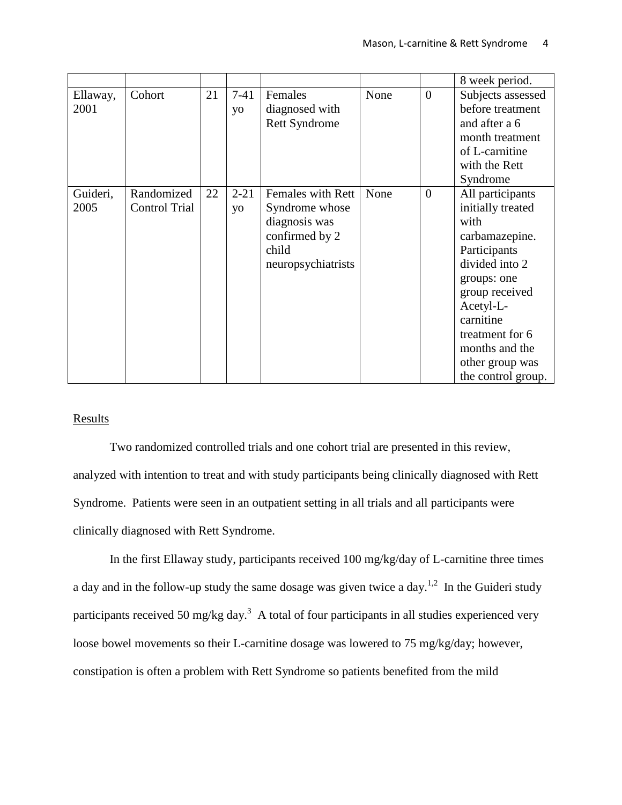|                  |                                    |    |                |                                                                                                       |      |                | 8 week period.                                                                                                                                                                                                                             |
|------------------|------------------------------------|----|----------------|-------------------------------------------------------------------------------------------------------|------|----------------|--------------------------------------------------------------------------------------------------------------------------------------------------------------------------------------------------------------------------------------------|
| Ellaway,<br>2001 | Cohort                             | 21 | $7-41$<br>yo   | Females<br>diagnosed with<br><b>Rett Syndrome</b>                                                     | None | $\overline{0}$ | Subjects assessed<br>before treatment<br>and after a 6<br>month treatment<br>of L-carnitine<br>with the Rett<br>Syndrome                                                                                                                   |
| Guideri,<br>2005 | Randomized<br><b>Control Trial</b> | 22 | $2 - 21$<br>yo | Females with Rett<br>Syndrome whose<br>diagnosis was<br>confirmed by 2<br>child<br>neuropsychiatrists | None | $\overline{0}$ | All participants<br>initially treated<br>with<br>carbamazepine.<br>Participants<br>divided into 2<br>groups: one<br>group received<br>Acetyl-L-<br>carnitine<br>treatment for 6<br>months and the<br>other group was<br>the control group. |

# **Results**

Two randomized controlled trials and one cohort trial are presented in this review, analyzed with intention to treat and with study participants being clinically diagnosed with Rett Syndrome. Patients were seen in an outpatient setting in all trials and all participants were clinically diagnosed with Rett Syndrome.

In the first Ellaway study, participants received 100 mg/kg/day of L-carnitine three times a day and in the follow-up study the same dosage was given twice a day.<sup>1,2</sup> In the Guideri study participants received 50 mg/kg day.<sup>3</sup> A total of four participants in all studies experienced very loose bowel movements so their L-carnitine dosage was lowered to 75 mg/kg/day; however, constipation is often a problem with Rett Syndrome so patients benefited from the mild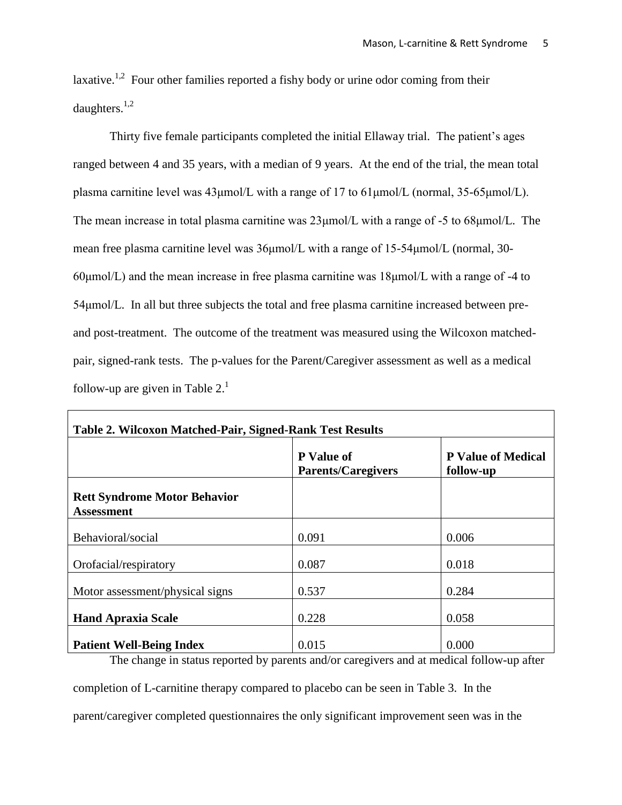laxative.<sup>1,2</sup> Four other families reported a fishy body or urine odor coming from their daughters. $^{1,2}$ 

Thirty five female participants completed the initial Ellaway trial. The patient's ages ranged between 4 and 35 years, with a median of 9 years. At the end of the trial, the mean total plasma carnitine level was 43μmol/L with a range of 17 to 61μmol/L (normal, 35-65μmol/L). The mean increase in total plasma carnitine was 23μmol/L with a range of -5 to 68μmol/L. The mean free plasma carnitine level was 36μmol/L with a range of 15-54μmol/L (normal, 30- 60μmol/L) and the mean increase in free plasma carnitine was 18μmol/L with a range of -4 to 54μmol/L. In all but three subjects the total and free plasma carnitine increased between preand post-treatment. The outcome of the treatment was measured using the Wilcoxon matchedpair, signed-rank tests. The p-values for the Parent/Caregiver assessment as well as a medical follow-up are given in Table  $2<sup>1</sup>$ 

| <b>Table 2. Wilcoxon Matched-Pair, Signed-Rank Test Results</b> |                                                |                                        |  |  |  |  |  |
|-----------------------------------------------------------------|------------------------------------------------|----------------------------------------|--|--|--|--|--|
|                                                                 | <b>P</b> Value of<br><b>Parents/Caregivers</b> | <b>P</b> Value of Medical<br>follow-up |  |  |  |  |  |
| <b>Rett Syndrome Motor Behavior</b><br><b>Assessment</b>        |                                                |                                        |  |  |  |  |  |
| Behavioral/social                                               | 0.091                                          | 0.006                                  |  |  |  |  |  |
| Orofacial/respiratory                                           | 0.087                                          | 0.018                                  |  |  |  |  |  |
| Motor assessment/physical signs                                 | 0.537                                          | 0.284                                  |  |  |  |  |  |
| <b>Hand Apraxia Scale</b>                                       | 0.228                                          | 0.058                                  |  |  |  |  |  |
| <b>Patient Well-Being Index</b><br>. .                          | 0.015<br>$\sim$                                | 0.000<br>$\sim$<br>.                   |  |  |  |  |  |

The change in status reported by parents and/or caregivers and at medical follow-up after

completion of L-carnitine therapy compared to placebo can be seen in Table 3. In the parent/caregiver completed questionnaires the only significant improvement seen was in the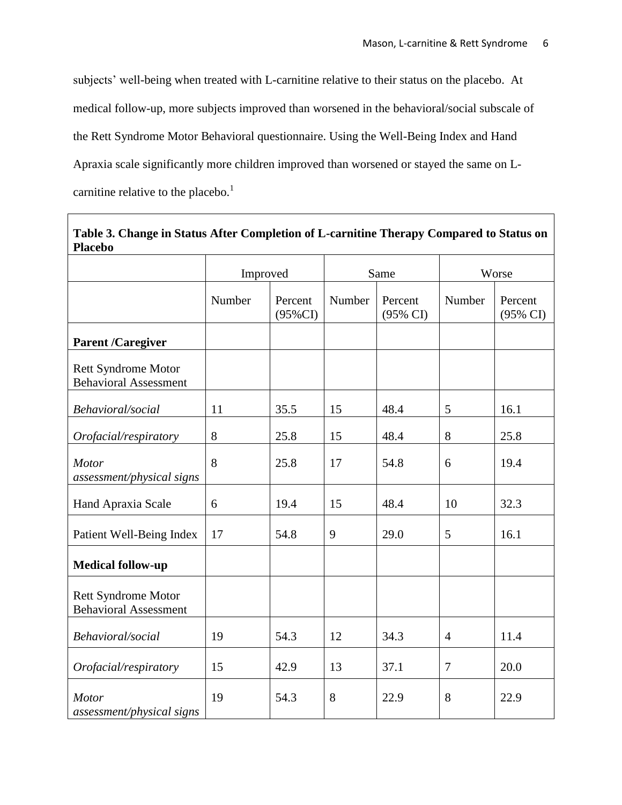subjects' well-being when treated with L-carnitine relative to their status on the placebo. At medical follow-up, more subjects improved than worsened in the behavioral/social subscale of the Rett Syndrome Motor Behavioral questionnaire. Using the Well-Being Index and Hand Apraxia scale significantly more children improved than worsened or stayed the same on Lcarnitine relative to the placebo.<sup>1</sup>

| Table 3. Change in Status After Completion of L-carnitine Therapy Compared to Status on<br><b>Placebo</b> |          |                       |        |                     |                |                     |
|-----------------------------------------------------------------------------------------------------------|----------|-----------------------|--------|---------------------|----------------|---------------------|
|                                                                                                           | Improved |                       | Same   |                     | Worse          |                     |
|                                                                                                           | Number   | Percent<br>$(95\%CI)$ | Number | Percent<br>(95% CI) | Number         | Percent<br>(95% CI) |
| <b>Parent /Caregiver</b>                                                                                  |          |                       |        |                     |                |                     |
| <b>Rett Syndrome Motor</b><br><b>Behavioral Assessment</b>                                                |          |                       |        |                     |                |                     |
| Behavioral/social                                                                                         | 11       | 35.5                  | 15     | 48.4                | 5              | 16.1                |
| Orofacial/respiratory                                                                                     | 8        | 25.8                  | 15     | 48.4                | 8              | 25.8                |
| <b>Motor</b><br>assessment/physical signs                                                                 | 8        | 25.8                  | 17     | 54.8                | 6              | 19.4                |
| Hand Apraxia Scale                                                                                        | 6        | 19.4                  | 15     | 48.4                | 10             | 32.3                |
| Patient Well-Being Index                                                                                  | 17       | 54.8                  | 9      | 29.0                | 5              | 16.1                |
| <b>Medical follow-up</b>                                                                                  |          |                       |        |                     |                |                     |
| <b>Rett Syndrome Motor</b><br><b>Behavioral Assessment</b>                                                |          |                       |        |                     |                |                     |
| Behavioral/social                                                                                         | 19       | 54.3                  | 12     | 34.3                | $\overline{4}$ | 11.4                |
| Orofacial/respiratory                                                                                     | 15       | 42.9                  | 13     | 37.1                | $\overline{7}$ | 20.0                |
| Motor<br>assessment/physical signs                                                                        | 19       | 54.3                  | 8      | 22.9                | 8              | 22.9                |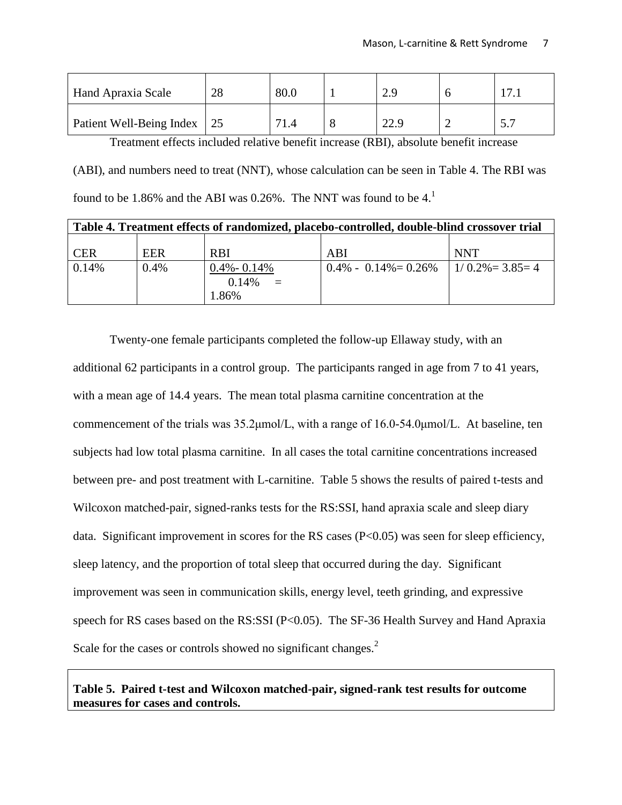| Hand Apraxia Scale          | 28 | 80.0 | 2.9  |           | 17.1 |
|-----------------------------|----|------|------|-----------|------|
| Patient Well-Being Index 25 |    | 71.4 | 22.9 | <b>__</b> |      |

Treatment effects included relative benefit increase (RBI), absolute benefit increase (ABI), and numbers need to treat (NNT), whose calculation can be seen in Table 4. The RBI was found to be 1.86% and the ABI was 0.26%. The NNT was found to be  $4<sup>1</sup>$ 

| Table 4. Treatment effects of randomized, placebo-controlled, double-blind crossover trial |            |                                                |                                                |            |  |  |  |
|--------------------------------------------------------------------------------------------|------------|------------------------------------------------|------------------------------------------------|------------|--|--|--|
| <b>CER</b>                                                                                 | <b>EER</b> | <b>RBI</b>                                     | ABI                                            | <b>NNT</b> |  |  |  |
| 0.14%                                                                                      | 0.4%       | $0.4\% - 0.14\%$<br>0.14%<br>$\equiv$<br>1.86% | $0.4\% - 0.14\% = 0.26\% - 1/0.2\% = 3.85 = 4$ |            |  |  |  |

Twenty-one female participants completed the follow-up Ellaway study, with an additional 62 participants in a control group. The participants ranged in age from 7 to 41 years, with a mean age of 14.4 years. The mean total plasma carnitine concentration at the commencement of the trials was 35.2μmol/L, with a range of 16.0-54.0μmol/L. At baseline, ten subjects had low total plasma carnitine. In all cases the total carnitine concentrations increased between pre- and post treatment with L-carnitine. Table 5 shows the results of paired t-tests and Wilcoxon matched-pair, signed-ranks tests for the RS:SSI, hand apraxia scale and sleep diary data. Significant improvement in scores for the RS cases (P<0.05) was seen for sleep efficiency, sleep latency, and the proportion of total sleep that occurred during the day. Significant improvement was seen in communication skills, energy level, teeth grinding, and expressive speech for RS cases based on the RS:SSI (P<0.05). The SF-36 Health Survey and Hand Apraxia Scale for the cases or controls showed no significant changes.<sup>2</sup>

# **Table 5. Paired t-test and Wilcoxon matched-pair, signed-rank test results for outcome measures for cases and controls.**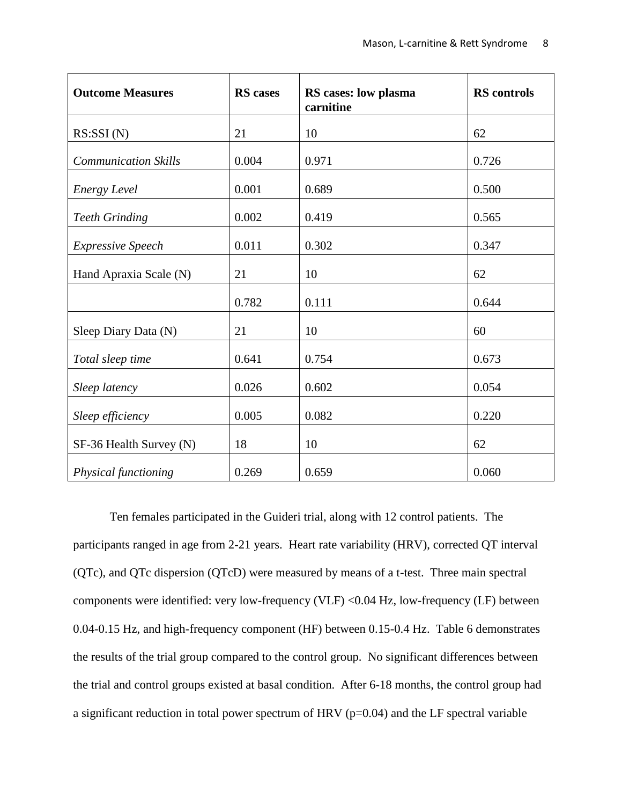| <b>Outcome Measures</b>     | <b>RS</b> cases | RS cases: low plasma<br>carnitine | <b>RS</b> controls |
|-----------------------------|-----------------|-----------------------------------|--------------------|
| RS:SSI(N)                   | 21              | 10                                | 62                 |
| <b>Communication Skills</b> | 0.004           | 0.971                             | 0.726              |
| Energy Level                | 0.001           | 0.689                             | 0.500              |
| <b>Teeth Grinding</b>       | 0.002           | 0.419                             | 0.565              |
| Expressive Speech           | 0.011           | 0.302                             | 0.347              |
| Hand Apraxia Scale (N)      | 21              | 10                                | 62                 |
|                             | 0.782           | 0.111                             | 0.644              |
| Sleep Diary Data (N)        | 21              | 10                                | 60                 |
| Total sleep time            | 0.641           | 0.754                             | 0.673              |
| Sleep latency               | 0.026           | 0.602                             | 0.054              |
| Sleep efficiency            | 0.005           | 0.082                             | 0.220              |
| SF-36 Health Survey (N)     | 18              | 10                                | 62                 |
| Physical functioning        | 0.269           | 0.659                             | 0.060              |

Ten females participated in the Guideri trial, along with 12 control patients. The participants ranged in age from 2-21 years. Heart rate variability (HRV), corrected QT interval (QTc), and QTc dispersion (QTcD) were measured by means of a t-test. Three main spectral components were identified: very low-frequency (VLF) <0.04 Hz, low-frequency (LF) between 0.04-0.15 Hz, and high-frequency component (HF) between 0.15-0.4 Hz. Table 6 demonstrates the results of the trial group compared to the control group. No significant differences between the trial and control groups existed at basal condition. After 6-18 months, the control group had a significant reduction in total power spectrum of HRV (p=0.04) and the LF spectral variable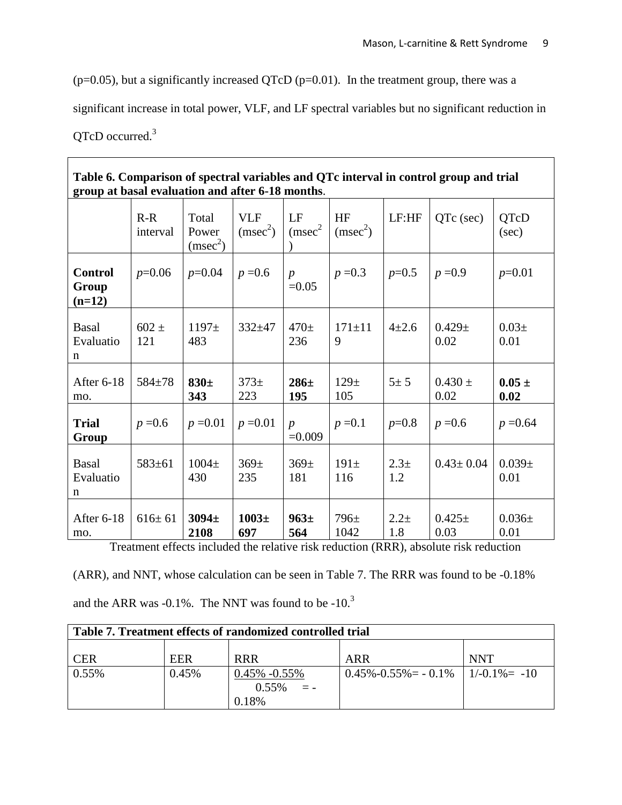$(p=0.05)$ , but a significantly increased QTcD  $(p=0.01)$ . In the treatment group, there was a

significant increase in total power, VLF, and LF spectral variables but no significant reduction in

# QTcD occurred.<sup>3</sup>

| Table 6. Comparison of spectral variables and QTc interval in control group and trial<br>group at basal evaluation and after 6-18 months. |                   |                                        |                                    |                              |                            |                |                     |                    |
|-------------------------------------------------------------------------------------------------------------------------------------------|-------------------|----------------------------------------|------------------------------------|------------------------------|----------------------------|----------------|---------------------|--------------------|
|                                                                                                                                           | $R-R$<br>interval | Total<br>Power<br>(msec <sup>2</sup> ) | <b>VLF</b><br>(msec <sup>2</sup> ) | LF<br>(msec <sup>2</sup> )   | HF<br>(msec <sup>2</sup> ) | LF:HF          | QTc (sec)           | QTcD<br>(sec)      |
| <b>Control</b><br>Group<br>$(n=12)$                                                                                                       | $p=0.06$          | $p=0.04$                               | $p = 0.6$                          | $\boldsymbol{p}$<br>$=0.05$  | $p = 0.3$                  | $p=0.5$        | $p = 0.9$           | $p=0.01$           |
| <b>Basal</b><br>Evaluatio<br>n                                                                                                            | $602 \pm$<br>121  | $1197+$<br>483                         | $332 + 47$                         | 470 <sub>±</sub><br>236      | $171 \pm 11$<br>9          | $4 + 2.6$      | $0.429 \pm$<br>0.02 | $0.03\pm$<br>0.01  |
| After 6-18<br>mo.                                                                                                                         | 584±78            | $830\pm$<br>343                        | $373+$<br>223                      | $286 \pm$<br>195             | $129+$<br>105              | $5\pm 5$       | $0.430 \pm$<br>0.02 | $0.05 \pm$<br>0.02 |
| <b>Trial</b><br>Group                                                                                                                     | $p = 0.6$         | $p = 0.01$                             | $p = 0.01$                         | $\boldsymbol{p}$<br>$=0.009$ | $p = 0.1$                  | $p=0.8$        | $p = 0.6$           | $p = 0.64$         |
| <b>Basal</b><br>Evaluatio<br>n                                                                                                            | $583 \pm 61$      | $1004\pm$<br>430                       | 369 <sub>±</sub><br>235            | 369 <sub>±</sub><br>181      | $191\pm$<br>116            | $2.3 +$<br>1.2 | $0.43 \pm 0.04$     | $0.039\pm$<br>0.01 |
| After 6-18<br>mo.                                                                                                                         | $616 \pm 61$      | 3094 <sub>±</sub><br>2108              | 1003 <sub>±</sub><br>697           | 963±<br>564                  | $796\pm$<br>1042           | $2.2 +$<br>1.8 | $0.425 \pm$<br>0.03 | $0.036\pm$<br>0.01 |

Treatment effects included the relative risk reduction (RRR), absolute risk reduction

(ARR), and NNT, whose calculation can be seen in Table 7. The RRR was found to be -0.18% and the ARR was  $-0.1\%$ . The NNT was found to be  $-10<sup>3</sup>$ 

| Table 7. Treatment effects of randomized controlled trial |       |                   |                                             |            |  |  |  |  |
|-----------------------------------------------------------|-------|-------------------|---------------------------------------------|------------|--|--|--|--|
|                                                           |       |                   |                                             |            |  |  |  |  |
| <b>CER</b>                                                | EER   | <b>RRR</b>        | ARR                                         | <b>NNT</b> |  |  |  |  |
| $0.55\%$                                                  | 0.45% | $0.45\% -0.55\%$  | $0.45\% - 0.55\% = -0.1\%$   1/-0.1\% = -10 |            |  |  |  |  |
|                                                           |       | $0.55\%$<br>$= -$ |                                             |            |  |  |  |  |
|                                                           |       | 0.18%             |                                             |            |  |  |  |  |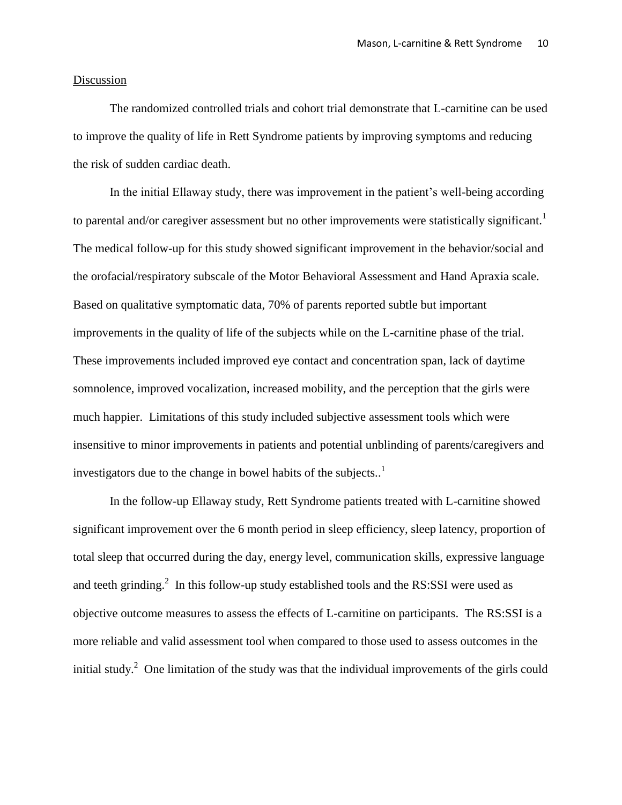#### Discussion

The randomized controlled trials and cohort trial demonstrate that L-carnitine can be used to improve the quality of life in Rett Syndrome patients by improving symptoms and reducing the risk of sudden cardiac death.

In the initial Ellaway study, there was improvement in the patient's well-being according to parental and/or caregiver assessment but no other improvements were statistically significant.<sup>1</sup> The medical follow-up for this study showed significant improvement in the behavior/social and the orofacial/respiratory subscale of the Motor Behavioral Assessment and Hand Apraxia scale. Based on qualitative symptomatic data, 70% of parents reported subtle but important improvements in the quality of life of the subjects while on the L-carnitine phase of the trial. These improvements included improved eye contact and concentration span, lack of daytime somnolence, improved vocalization, increased mobility, and the perception that the girls were much happier. Limitations of this study included subjective assessment tools which were insensitive to minor improvements in patients and potential unblinding of parents/caregivers and investigators due to the change in bowel habits of the subjects..<sup>1</sup>

In the follow-up Ellaway study, Rett Syndrome patients treated with L-carnitine showed significant improvement over the 6 month period in sleep efficiency, sleep latency, proportion of total sleep that occurred during the day, energy level, communication skills, expressive language and teeth grinding.<sup>2</sup> In this follow-up study established tools and the RS:SSI were used as objective outcome measures to assess the effects of L-carnitine on participants. The RS:SSI is a more reliable and valid assessment tool when compared to those used to assess outcomes in the initial study.<sup>2</sup> One limitation of the study was that the individual improvements of the girls could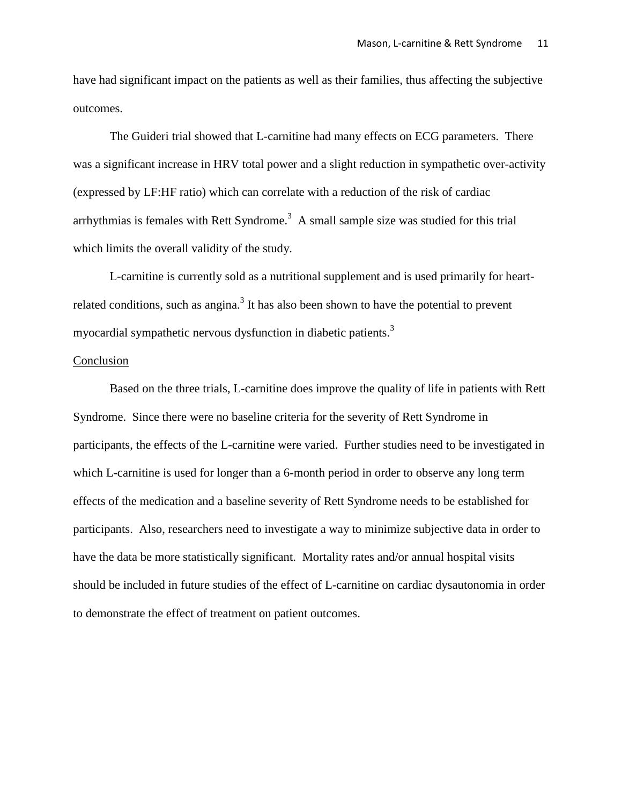have had significant impact on the patients as well as their families, thus affecting the subjective outcomes.

The Guideri trial showed that L-carnitine had many effects on ECG parameters. There was a significant increase in HRV total power and a slight reduction in sympathetic over-activity (expressed by LF:HF ratio) which can correlate with a reduction of the risk of cardiac arrhythmias is females with Rett Syndrome.<sup>3</sup> A small sample size was studied for this trial which limits the overall validity of the study.

L-carnitine is currently sold as a nutritional supplement and is used primarily for heartrelated conditions, such as angina.<sup>3</sup> It has also been shown to have the potential to prevent myocardial sympathetic nervous dysfunction in diabetic patients.<sup>3</sup>

#### Conclusion

Based on the three trials, L-carnitine does improve the quality of life in patients with Rett Syndrome. Since there were no baseline criteria for the severity of Rett Syndrome in participants, the effects of the L-carnitine were varied. Further studies need to be investigated in which L-carnitine is used for longer than a 6-month period in order to observe any long term effects of the medication and a baseline severity of Rett Syndrome needs to be established for participants. Also, researchers need to investigate a way to minimize subjective data in order to have the data be more statistically significant. Mortality rates and/or annual hospital visits should be included in future studies of the effect of L-carnitine on cardiac dysautonomia in order to demonstrate the effect of treatment on patient outcomes.